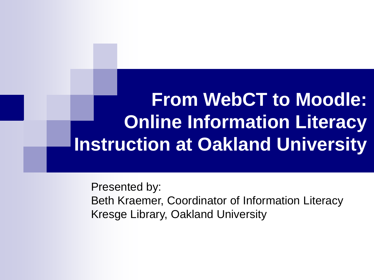#### **From WebCT to Moodle: Online Information Literacy Instruction at Oakland University**

Presented by: Beth Kraemer, Coordinator of Information Literacy Kresge Library, Oakland University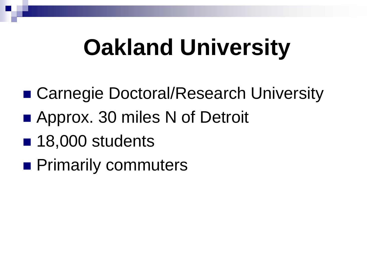# **Oakland University**

- Carnegie Doctoral/Research University
- Approx. 30 miles N of Detroit
- 18,000 students
- **Primarily commuters**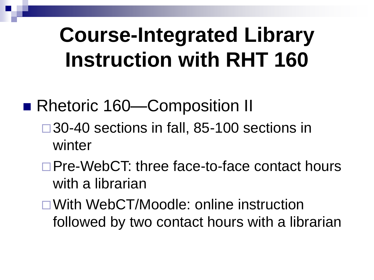#### **Course-Integrated Library Instruction with RHT 160**

- Rhetoric 160—Composition II
	- □30-40 sections in fall, 85-100 sections in winter
	- □Pre-WebCT: three face-to-face contact hours with a librarian
	- With WebCT/Moodle: online instruction followed by two contact hours with a librarian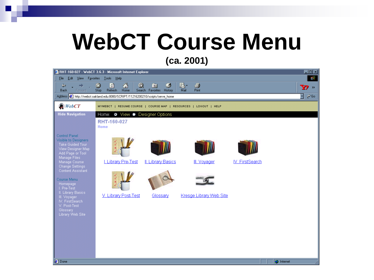# **WebCT Course Menu**

**(ca. 2001)**

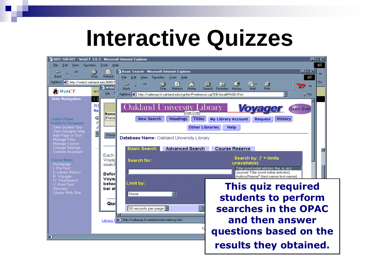#### **Interactive Quizzes**

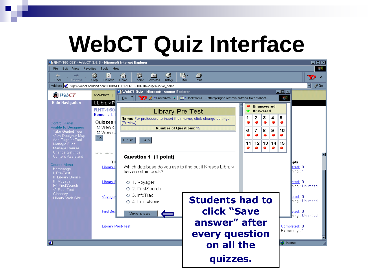### **WebCT Quiz Interface**

| <b>B</b> RHT-160-027 - WebCT 3.6.3 - Microsoft Internet Explorer                     |                                                      |                                                                  |                                                                              |                                |           |            |                        |    |                   |    |    |     |                   |                  | <b>GOX</b>    |
|--------------------------------------------------------------------------------------|------------------------------------------------------|------------------------------------------------------------------|------------------------------------------------------------------------------|--------------------------------|-----------|------------|------------------------|----|-------------------|----|----|-----|-------------------|------------------|---------------|
| File<br>Edit<br><b>View</b><br>Favorites                                             | Help<br><b>Tools</b>                                 |                                                                  |                                                                              |                                |           |            |                        |    |                   |    |    |     |                   |                  | 411           |
| $\Leftrightarrow$<br><b>Back</b><br>Forward                                          | $\infty$<br>$\mathbb{R}^2$<br><b>Refresh</b><br>Stop | 6<br>Q<br>Home                                                   | $\rightarrow$<br>Search Favorites History                                    | - 9                            | 恳<br>Mail | 4<br>Print |                        |    |                   |    |    |     |                   |                  | $\rightarrow$ |
| Address <b>3</b> http://webct.oakland.edu:8080/SCRIPT/11216200210/scripts/serve_home |                                                      |                                                                  |                                                                              |                                |           |            |                        |    |                   |    |    |     |                   |                  | $\alpha$ Go   |
| $WebCT$                                                                              | MYWEBCT                                              | WebCT Quiz - Microsoft Internet Explorer                         |                                                                              |                                |           |            |                        |    |                   |    |    | FOX |                   |                  |               |
|                                                                                      |                                                      | File                                                             | ◯ / Toustomize 9   8 Th Bookmarks attempting to retrieve buttons from Yahoo! |                                |           |            |                        |    |                   |    |    | 調   |                   |                  |               |
| <b>Hide Navigation</b>                                                               | I. Library P                                         |                                                                  |                                                                              |                                |           |            |                        |    | <b>Unanswered</b> |    |    |     |                   |                  |               |
|                                                                                      | <b>RHT-160</b>                                       |                                                                  |                                                                              | <b>Library Pre-Test</b>        |           |            |                        |    | Answered          |    |    |     |                   |                  |               |
|                                                                                      | Home $\rightarrow$ 1.                                | Name: For professors to insert their name, click change settings |                                                                              |                                |           |            |                        | 1  | 2                 | з  | 4  | 5   |                   |                  |               |
| <b>Control Panel</b>                                                                 | Quizzes a                                            | (Preview)                                                        |                                                                              |                                |           |            |                        |    |                   | ۰  |    |     |                   |                  |               |
| <b>Visible to Designers</b><br><b>Take Guided Tour</b>                               | O View cl                                            |                                                                  |                                                                              | <b>Number of Questions: 15</b> |           |            |                        | 6  | 7                 | 8  | 9  | 10  |                   |                  |               |
| View Designer Map                                                                    | O View s                                             |                                                                  |                                                                              |                                |           |            |                        |    |                   |    |    |     |                   |                  |               |
| Add Page or Tool                                                                     | Go                                                   | Finish                                                           | Help                                                                         |                                |           |            |                        | 11 | 12                | 13 | 14 | 15  |                   |                  |               |
| Manage Files<br>Manage Course                                                        |                                                      |                                                                  |                                                                              |                                |           |            |                        |    |                   |    |    |     |                   |                  |               |
| <b>Change Settings</b>                                                               | Given renords.                                       |                                                                  |                                                                              |                                |           |            |                        |    |                   |    |    |     |                   |                  |               |
| <b>Content Assistant</b>                                                             |                                                      |                                                                  | Question 1 (1 point)                                                         |                                |           |            |                        |    |                   |    |    |     |                   |                  |               |
| Course Menu                                                                          | Tit<br>Library R                                     | Which database do you use to find out if Kresge Library          |                                                                              |                                |           |            |                        |    |                   |    |    |     | npts:<br>eted: 0  |                  |               |
| Homepage<br>I. Pre-Test                                                              |                                                      |                                                                  | has a certain book?                                                          |                                |           |            |                        |    |                   |    |    |     | hing∷ 1           |                  |               |
| II. Library Basics                                                                   |                                                      |                                                                  |                                                                              |                                |           |            |                        |    |                   |    |    |     |                   |                  |               |
| III. Voyager<br>IV. FirstSearch                                                      | Library E                                            | O 1. Voyager                                                     |                                                                              |                                |           |            |                        |    |                   |    |    |     | eted: 0           |                  |               |
| V. Post-Test                                                                         |                                                      |                                                                  | O. 2. FirstSearch                                                            |                                |           |            |                        |    |                   |    |    |     |                   | ning:: Unlimited |               |
| Glossary                                                                             | Vovager                                              | O 3. InfoTrac                                                    |                                                                              |                                |           |            |                        |    |                   |    |    |     | leted: 0          |                  |               |
| Library Web Site                                                                     |                                                      |                                                                  | O 4. Lexis/Nexis                                                             |                                |           |            | <b>Students had to</b> |    |                   |    |    |     |                   | hing:: Unlimited |               |
|                                                                                      |                                                      |                                                                  |                                                                              |                                |           |            |                        |    |                   |    |    |     |                   |                  |               |
|                                                                                      | FirstSea                                             | Save answer                                                      |                                                                              |                                |           |            | <b>click "Save</b>     |    |                   |    |    |     | eted: 0           | ning:: Unlimited |               |
|                                                                                      |                                                      |                                                                  |                                                                              |                                |           |            |                        |    |                   |    |    |     |                   |                  |               |
|                                                                                      | <b>Library Post-Test</b>                             |                                                                  |                                                                              |                                |           |            | answer" after          |    |                   |    |    |     | Completed: 0      |                  |               |
|                                                                                      |                                                      |                                                                  |                                                                              |                                |           |            |                        |    |                   |    |    |     | Remaining:: 1     |                  |               |
|                                                                                      |                                                      |                                                                  |                                                                              |                                |           |            | every question         |    |                   |    |    |     |                   |                  |               |
| e                                                                                    |                                                      |                                                                  |                                                                              |                                |           |            | on all the             |    |                   |    |    |     | <b>C</b> Internet |                  |               |
|                                                                                      |                                                      |                                                                  |                                                                              |                                |           |            |                        |    |                   |    |    |     |                   |                  |               |
|                                                                                      |                                                      |                                                                  |                                                                              |                                |           |            |                        |    |                   |    |    |     |                   |                  |               |
|                                                                                      |                                                      |                                                                  |                                                                              |                                |           |            | quizzes.               |    |                   |    |    |     |                   |                  |               |
|                                                                                      |                                                      |                                                                  |                                                                              |                                |           |            |                        |    |                   |    |    |     |                   |                  |               |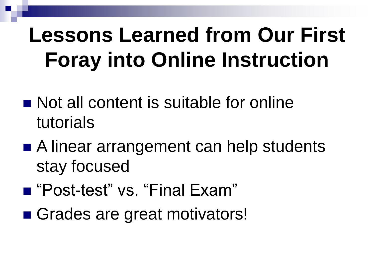### **Lessons Learned from Our First Foray into Online Instruction**

- Not all content is suitable for online tutorials
- A linear arrangement can help students stay focused
- "Post-test" vs. "Final Exam"
- Grades are great motivators!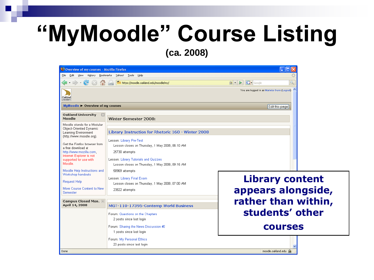#### **"MyMoodle" Course Listing (ca. 2008)**

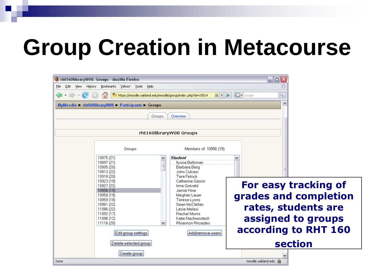# **Group Creation in Metacourse**

| Tht160libraryW08: Groups - Mozilla Firefox                                                                                                                                                                                                                                                                                                                                                                                                                                                                                                                                            | $\Box$ o $\times$                                                                                                                                          |
|---------------------------------------------------------------------------------------------------------------------------------------------------------------------------------------------------------------------------------------------------------------------------------------------------------------------------------------------------------------------------------------------------------------------------------------------------------------------------------------------------------------------------------------------------------------------------------------|------------------------------------------------------------------------------------------------------------------------------------------------------------|
| Bookmarks Yahoo! Tools<br>History<br>Eile<br>Edit<br>View<br>Help                                                                                                                                                                                                                                                                                                                                                                                                                                                                                                                     |                                                                                                                                                            |
| Tn https://moodle.oakland.edu/moodle/group/index.php?id=15514<br>$\circ$ $\cdot$                                                                                                                                                                                                                                                                                                                                                                                                                                                                                                      | $ G $ Google<br>$\mathcal{L}$<br>$\triangleright$                                                                                                          |
| MyMoodle > rht160libraryW08 > Participants > Groups                                                                                                                                                                                                                                                                                                                                                                                                                                                                                                                                   | $\triangle$                                                                                                                                                |
| Groups<br>Overview.                                                                                                                                                                                                                                                                                                                                                                                                                                                                                                                                                                   |                                                                                                                                                            |
|                                                                                                                                                                                                                                                                                                                                                                                                                                                                                                                                                                                       |                                                                                                                                                            |
| rht160libraryW08 Groups                                                                                                                                                                                                                                                                                                                                                                                                                                                                                                                                                               |                                                                                                                                                            |
| Groups:<br>Members of: 10956 (19)                                                                                                                                                                                                                                                                                                                                                                                                                                                                                                                                                     |                                                                                                                                                            |
| <b>Student</b><br>10875 (21)<br>۸<br>10897 (21)<br>Ilyssa Beltzman<br>10905 (20)<br>Barbara Berg<br>John Culcasi<br>10913 (22)<br>Tara Felock<br>10918 (20)<br>10923 (19)<br>Catherine Gasior<br>10927 (22)<br>Irma Gotvald<br>10956 (19)<br>Jamie Hine<br>10958 (19)<br>Meghan Lauer<br>10959 (18)<br>Teresa Lyons<br>Sean McClellan<br>10961 (22)<br>11086 (22)<br>Lacie Melasi<br>11092 (17)<br>Rachel Morris<br>Katie Nachwostach<br>11096 (12)<br><b>Rhiannon Rhoades</b><br>11116 (20)<br>v<br>Add/remove users<br>Edit group settings<br>Delete selected group<br>Create group | For easy tracking of<br>grades and completion<br>rates, students are<br>assigned to groups<br>according to RHT 160<br><b>section</b><br>moodle.oakland.edu |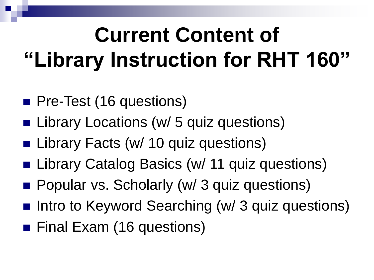# **Current Content of "Library Instruction for RHT 160"**

- Pre-Test (16 questions)
- Library Locations (w/ 5 quiz questions)
- Library Facts (w/ 10 quiz questions)
- Library Catalog Basics (w/ 11 quiz questions)
- **Popular vs. Scholarly (w/ 3 quiz questions)**
- Intro to Keyword Searching (w/ 3 quiz questions)
- Final Exam (16 questions)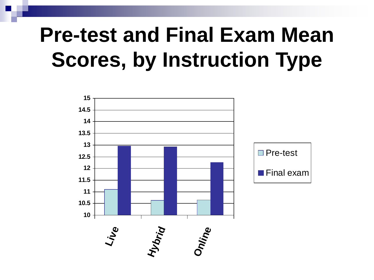#### **Pre-test and Final Exam Mean Scores, by Instruction Type**

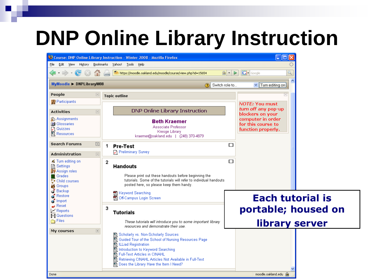#### **DNP Online Library Instruction**

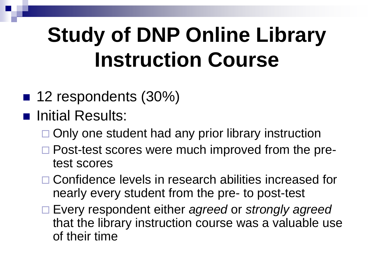### **Study of DNP Online Library Instruction Course**

- 12 respondents (30%)
- **n** Initial Results:
	- $\Box$  Only one student had any prior library instruction
	- □ Post-test scores were much improved from the pretest scores
	- □ Confidence levels in research abilities increased for nearly every student from the pre- to post-test
	- Every respondent either *agreed* or *strongly agreed* that the library instruction course was a valuable use of their time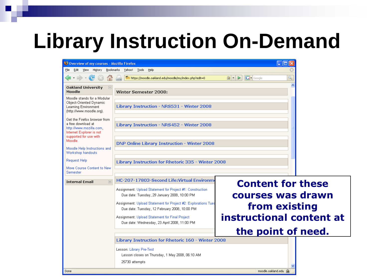#### **Library Instruction On-Demand**

| Overview of my courses - Mozilla Firefox                                                                                            |                                                                                                                 | $\Box$                                        |  |  |  |  |  |
|-------------------------------------------------------------------------------------------------------------------------------------|-----------------------------------------------------------------------------------------------------------------|-----------------------------------------------|--|--|--|--|--|
| File                                                                                                                                | Edit View History Bookmarks Yahoo! Tools Help                                                                   |                                               |  |  |  |  |  |
|                                                                                                                                     | Tn https://moodle.oakland.edu/moodle/my/index.php?edit=0                                                        | $ G \cdot$ Google<br>≅▼<br>$\triangleright$   |  |  |  |  |  |
| Oakland University<br>$\boxed{-}$<br>Moodle                                                                                         | Winter Semester 2008:                                                                                           | ۸                                             |  |  |  |  |  |
| Moodle stands for a Modular<br>Object-Oriented Dynamic<br>Learning Environment<br>(http://www.moodle.org).                          | Library Instruction - NRS531 - Winter 2008                                                                      |                                               |  |  |  |  |  |
| Get the Firefox browser from<br>a free download at<br>http://www.mozilla.com.<br>Internet Explorer is not<br>supported for use with | Library Instruction - NRS452 - Winter 2008                                                                      |                                               |  |  |  |  |  |
| Moodle.<br>Moodle Help Instructions and<br>Workshop handouts                                                                        | <b>DNP Online Library Instruction - Winter 2008</b>                                                             |                                               |  |  |  |  |  |
| <b>Request Help</b><br>Move Course Content to New<br>Semester                                                                       | Library Instruction for Rhetoric 335 - Winter 2008                                                              |                                               |  |  |  |  |  |
| $\boxed{+}$<br><b>Internal Email</b>                                                                                                | HC-207-17803-Second Life: Virtual Environme                                                                     |                                               |  |  |  |  |  |
|                                                                                                                                     | Assignment: Upload Statement for Project #1: Construction<br>Due date: Tuesday, 29 January 2008, 10:00 PM       | <b>Content for these</b><br>courses was drawn |  |  |  |  |  |
|                                                                                                                                     | Assignment: Upload Statement for Project #2: Explorations Tues<br>Due date: Tuesday, 12 February 2008, 10:00 PM | from existing                                 |  |  |  |  |  |
|                                                                                                                                     | Assignment: Upload Statement for Final Project<br>Due date: Wednesday, 23 April 2008, 11:00 PM                  | instructional content at                      |  |  |  |  |  |
|                                                                                                                                     |                                                                                                                 | the point of need.                            |  |  |  |  |  |
|                                                                                                                                     | Library Instruction for Rhetoric 160 - Winter 2008                                                              |                                               |  |  |  |  |  |
|                                                                                                                                     | Lesson: Library Pre-Test<br>Lesson closes on Thursday, 1 May 2008, 06:10 AM<br>25730 attempts                   |                                               |  |  |  |  |  |
| Done                                                                                                                                |                                                                                                                 | moodle.oakland.edu                            |  |  |  |  |  |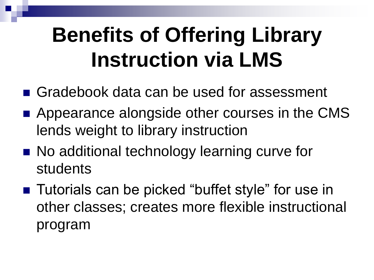### **Benefits of Offering Library Instruction via LMS**

- Gradebook data can be used for assessment
- Appearance alongside other courses in the CMS lends weight to library instruction
- No additional technology learning curve for students
- Tutorials can be picked "buffet style" for use in other classes; creates more flexible instructional program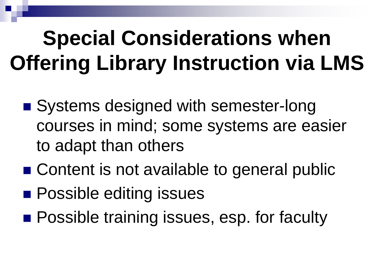# **Special Considerations when Offering Library Instruction via LMS**

- Systems designed with semester-long courses in mind; some systems are easier to adapt than others
- Content is not available to general public
- **Possible editing issues**
- **Possible training issues, esp. for faculty**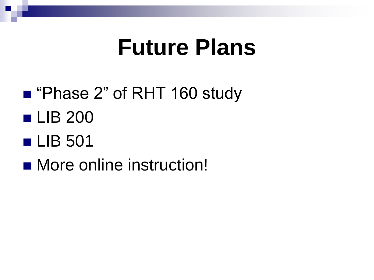#### **Future Plans**

- "Phase 2" of RHT 160 study
- **LIB 200**
- LIB 501
- More online instruction!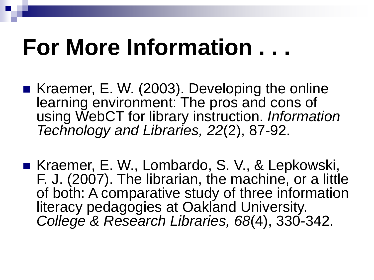# **For More Information . . .**

- Kraemer, E. W. (2003). Developing the online learning environment: The pros and cons of using WebCT for library instruction. *Information Technology and Libraries, 22*(2), 87-92.
- Kraemer, E. W., Lombardo, S. V., & Lepkowski, F. J. (2007). The librarian, the machine, or a little of both: A comparative study of three information literacy pedagogies at Oakland University. *College & Research Libraries, 68*(4), 330-342.